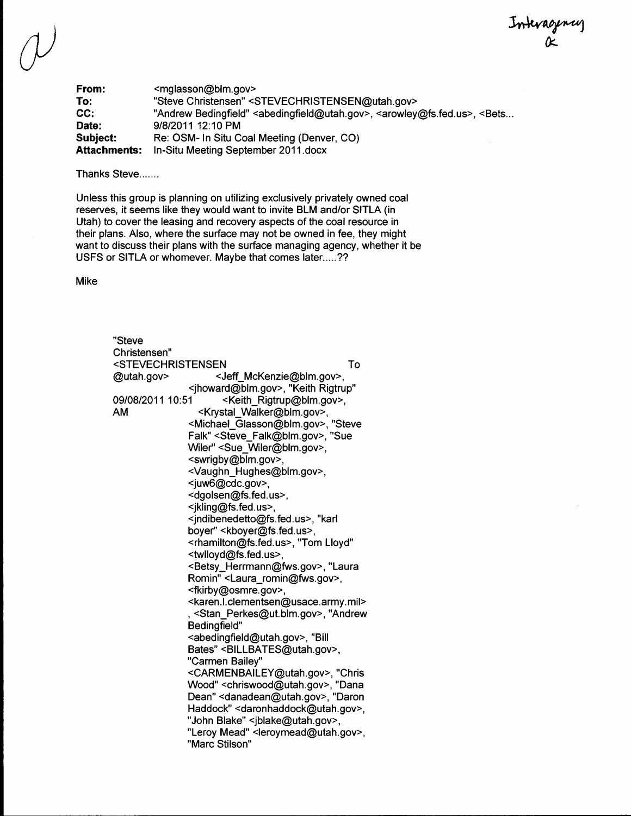Interagency

From: <mglasson@blm.gov><br>To: "Steve Christensen" < To: "Steve Christensen" <STEVECHRISTENSEN@utah.gov><br>CC: "Andrew Bedingfield" <abedingfield@utah.gov>, <arowley CC: "Andrew Bedingfield" <abedingfield@utah.gov>, <arowley@fs.fed.us>, <Bets...<br>Date: 9/8/2011 12:10 PM **Subject:** Re: OSM- In Situ Coal Meeting (Denver, CO) Attachments: In-Situ Meeting September 2011.docx

Thanks Steve.......

Unless this group is planning on utilizing exclusively privately owned coal reserves, it seems like they would want to invite BLM andlor SITLA (in Utah) to cover the leasing and recovery aspects of the coal resource in their plans. Also, where the surface may not be owned in fee, they might want to discuss their plans with the surface managing agency, whether it be USFS or SITLA or whomever. Maybe that comes later.....??

Mike

| "Steve                                                            |                                                                         |    |
|-------------------------------------------------------------------|-------------------------------------------------------------------------|----|
| Christensen"                                                      |                                                                         |    |
| <stevechristensen< td=""><td></td><td>To</td></stevechristensen<> |                                                                         | To |
| @utah.gov>                                                        | <jeff_mckenzie@blm.gov>,</jeff_mckenzie@blm.gov>                        |    |
|                                                                   | <jhoward@blm.gov>, "Keith Rigtrup"</jhoward@blm.gov>                    |    |
| 09/08/2011 10:51                                                  | <keith_rigtrup@blm.gov>,</keith_rigtrup@blm.gov>                        |    |
| AM                                                                | <krystal_walker@blm.gov>,</krystal_walker@blm.gov>                      |    |
|                                                                   | <michael_glasson@blm.gov>, "Steve</michael_glasson@blm.gov>             |    |
|                                                                   | Falk" <steve_falk@blm.gov>, "Sue</steve_falk@blm.gov>                   |    |
|                                                                   | Wiler" <sue_wiler@blm.gov>,</sue_wiler@blm.gov>                         |    |
|                                                                   | <swrigby@blm.gov>,</swrigby@blm.gov>                                    |    |
|                                                                   | <vaughn_hughes@blm.gov>,</vaughn_hughes@blm.gov>                        |    |
|                                                                   | <juw6@cdc.gov>,</juw6@cdc.gov>                                          |    |
|                                                                   | <dgolsen@fs.fed.us>,</dgolsen@fs.fed.us>                                |    |
|                                                                   | <jkling@fs.fed.us>,</jkling@fs.fed.us>                                  |    |
|                                                                   | <jndibenedetto@fs.fed.us>, "karl</jndibenedetto@fs.fed.us>              |    |
|                                                                   | boyer" <kboyer@fs.fed.us>,</kboyer@fs.fed.us>                           |    |
|                                                                   | <rhamilton@fs.fed.us>, "Tom Lloyd"</rhamilton@fs.fed.us>                |    |
|                                                                   | <twlloyd@fs.fed.us>,</twlloyd@fs.fed.us>                                |    |
|                                                                   | <betsy_herrmann@fws.gov>, "Laura</betsy_herrmann@fws.gov>               |    |
|                                                                   | Romin" <laura_romin@fws.gov>,</laura_romin@fws.gov>                     |    |
|                                                                   | <fkirby@osmre.gov>,</fkirby@osmre.gov>                                  |    |
|                                                                   | <karen.l.clementsen@usace.army.mil></karen.l.clementsen@usace.army.mil> |    |
|                                                                   | , <stan_perkes@ut.blm.gov>, "Andrew</stan_perkes@ut.blm.gov>            |    |
|                                                                   | Bedingfield"                                                            |    |
|                                                                   | <abedingfield@utah.gov>, "Bill</abedingfield@utah.gov>                  |    |
|                                                                   | Bates" <billbates@utah.gov>,</billbates@utah.gov>                       |    |
|                                                                   | "Carmen Bailey"                                                         |    |
|                                                                   | <carmenbailey@utah.gov>, "Chris</carmenbailey@utah.gov>                 |    |
|                                                                   | Wood" <chriswood@utah.gov>, "Dana</chriswood@utah.gov>                  |    |
|                                                                   | Dean" < danadean@utah.gov>, "Daron                                      |    |
|                                                                   | Haddock" < daronhaddock@utah.gov>,                                      |    |
|                                                                   | "John Blake" <jblake@utah.gov>,</jblake@utah.gov>                       |    |
|                                                                   | "Leroy Mead" <leroymead@utah.gov>,</leroymead@utah.gov>                 |    |
|                                                                   | "Marc Stilson"                                                          |    |